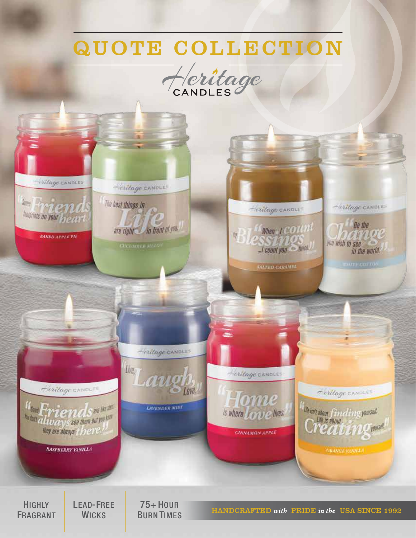## QUOTE COLLECTION





**HIGHLY** FRAGRANT

LEAD-FREE **WICKS** 

75+ HOUR

**BURN TIMES HANDCRAFTED** with **PRIDE** in the USA SINCE 1992